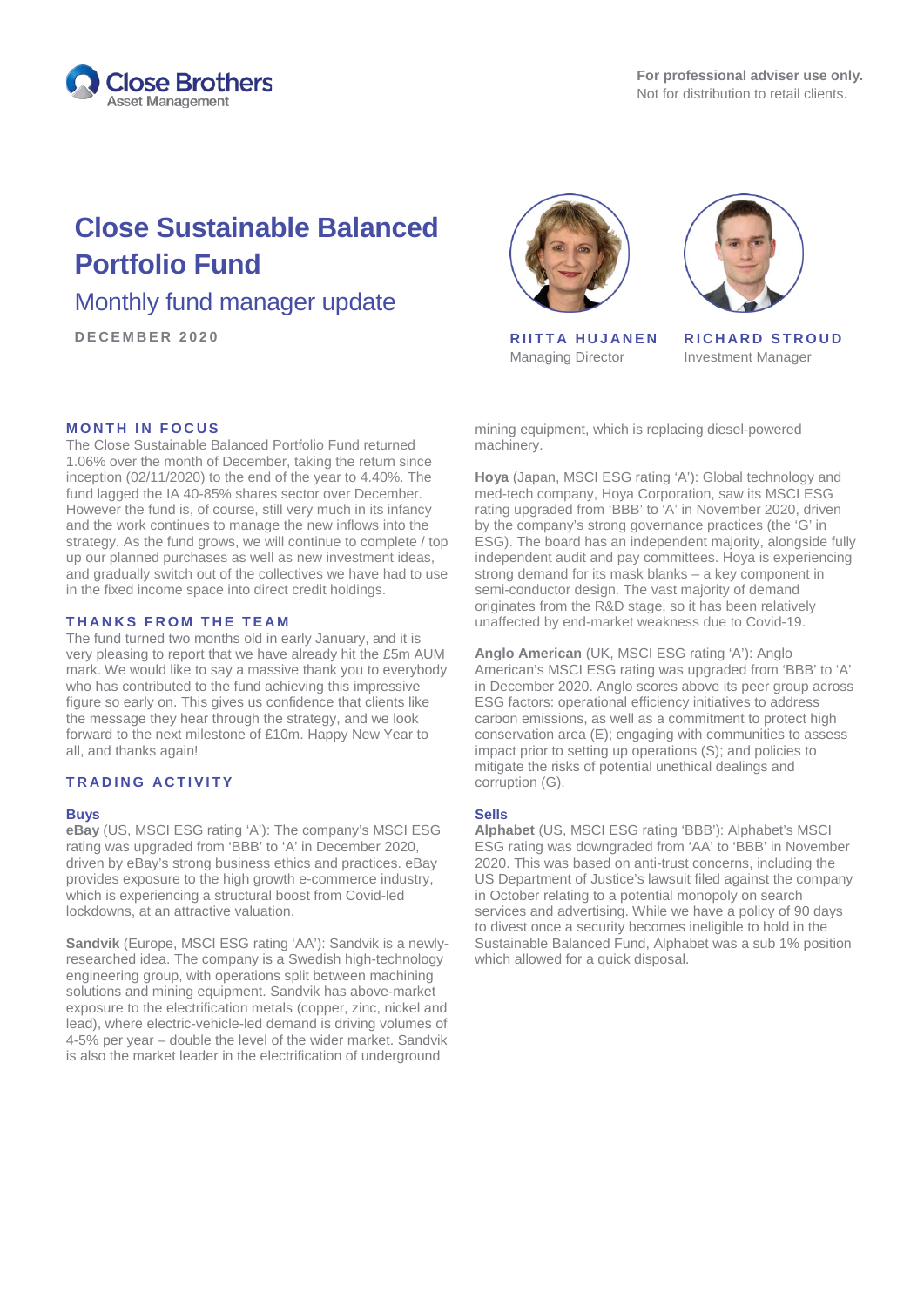

# **Close Sustainable Balanced Portfolio Fund**

## Monthly fund manager update

**DECEMBE R 2020 RIITTA HUJANEN**

### **MONTH IN FOCUS**

The Close Sustainable Balanced Portfolio Fund returned 1.06% over the month of December, taking the return since inception (02/11/2020) to the end of the year to 4.40%. The fund lagged the IA 40-85% shares sector over December. However the fund is, of course, still very much in its infancy and the work continues to manage the new inflows into the strategy. As the fund grows, we will continue to complete / top up our planned purchases as well as new investment ideas, and gradually switch out of the collectives we have had to use in the fixed income space into direct credit holdings.

#### **T H ANKS FROM THE TEAM**

The fund turned two months old in early January, and it is very pleasing to report that we have already hit the £5m AUM mark. We would like to say a massive thank you to everybody who has contributed to the fund achieving this impressive figure so early on. This gives us confidence that clients like the message they hear through the strategy, and we look forward to the next milestone of £10m. Happy New Year to all, and thanks again!

### **T R ADING ACTIVITY**

#### **Buys**

**eBay** (US, MSCI ESG rating 'A'): The company's MSCI ESG rating was upgraded from 'BBB' to 'A' in December 2020, driven by eBay's strong business ethics and practices. eBay provides exposure to the high growth e-commerce industry, which is experiencing a structural boost from Covid-led lockdowns, at an attractive valuation.

**Sandvik** (Europe, MSCI ESG rating 'AA'): Sandvik is a newlyresearched idea. The company is a Swedish high-technology engineering group, with operations split between machining solutions and mining equipment. Sandvik has above-market exposure to the electrification metals (copper, zinc, nickel and lead), where electric-vehicle-led demand is driving volumes of 4-5% per year – double the level of the wider market. Sandvik is also the market leader in the electrification of underground



Managing Director



**RICHARD STROUD** Investment Manager

mining equipment, which is replacing diesel-powered machinery.

**Hoya** (Japan, MSCI ESG rating 'A'): Global technology and med-tech company, Hoya Corporation, saw its MSCI ESG rating upgraded from 'BBB' to 'A' in November 2020, driven by the company's strong governance practices (the 'G' in ESG). The board has an independent majority, alongside fully independent audit and pay committees. Hoya is experiencing strong demand for its mask blanks – a key component in semi-conductor design. The vast majority of demand originates from the R&D stage, so it has been relatively unaffected by end-market weakness due to Covid-19.

**Anglo American** (UK, MSCI ESG rating 'A'): Anglo American's MSCI ESG rating was upgraded from 'BBB' to 'A' in December 2020. Anglo scores above its peer group across ESG factors: operational efficiency initiatives to address carbon emissions, as well as a commitment to protect high conservation area (E); engaging with communities to assess impact prior to setting up operations (S); and policies to mitigate the risks of potential unethical dealings and corruption (G).

#### **Sells**

**Alphabet** (US, MSCI ESG rating 'BBB'): Alphabet's MSCI ESG rating was downgraded from 'AA' to 'BBB' in November 2020. This was based on anti-trust concerns, including the US Department of Justice's lawsuit filed against the company in October relating to a potential monopoly on search services and advertising. While we have a policy of 90 days to divest once a security becomes ineligible to hold in the Sustainable Balanced Fund, Alphabet was a sub 1% position which allowed for a quick disposal.